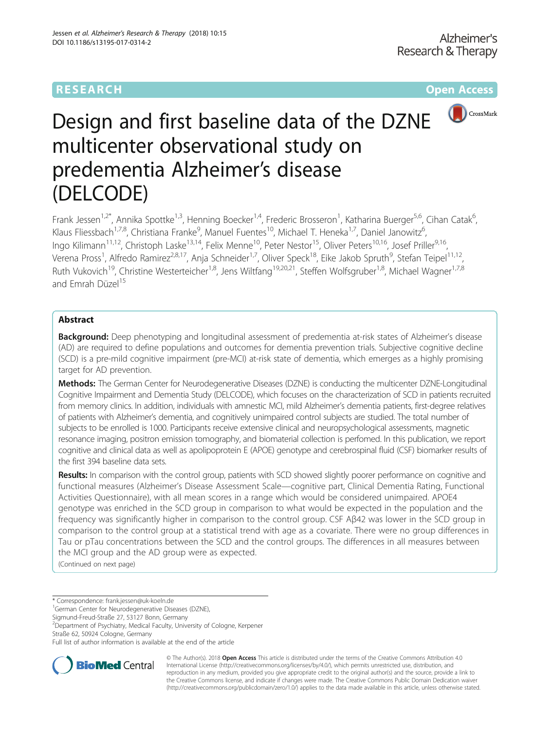## **RESEARCH CHEAR CHEAR CHEAR CHEAR CHEAR CHEAR CHEAR CHEAR CHEAR CHEAR CHEAR CHEAR CHEAR CHEAR CHEAR CHEAR CHEAR**



# Design and first baseline data of the DZNE multicenter observational study on predementia Alzheimer's disease (DELCODE)

Frank Jessen<sup>1,2\*</sup>, Annika Spottke<sup>1,3</sup>, Henning Boecker<sup>1,4</sup>, Frederic Brosseron<sup>1</sup>, Katharina Buerger<sup>5,6</sup>, Cihan Catak<sup>6</sup> .<br>, Klaus Fliessbach<sup>1,7,8</sup>, Christiana Franke<sup>9</sup>, Manuel Fuentes<sup>10</sup>, Michael T. Heneka<sup>1,7</sup>, Daniel Janowitz<sup>6</sup> .<br>י Ingo Kilimann<sup>11,12</sup>, Christoph Laske<sup>13,14</sup>, Felix Menne<sup>10</sup>, Peter Nestor<sup>15</sup>, Oliver Peters<sup>10,16</sup>, Josef Priller<sup>9,16</sup>, Verena Pross<sup>1</sup>, Alfredo Ramirez<sup>2,8,17</sup>, Anja Schneider<sup>1,7</sup>, Oliver Speck<sup>18</sup>, Eike Jakob Spruth<sup>9</sup>, Stefan Teipel<sup>11,12</sup>, Ruth Vukovich<sup>19</sup>, Christine Westerteicher<sup>1,8</sup>, Jens Wiltfang<sup>19,20,21</sup>, Steffen Wolfsgruber<sup>1,8</sup>, Michael Wagner<sup>1,7,8</sup> and Emrah Düzel<sup>15</sup>

#### Abstract

Background: Deep phenotyping and longitudinal assessment of predementia at-risk states of Alzheimer's disease (AD) are required to define populations and outcomes for dementia prevention trials. Subjective cognitive decline (SCD) is a pre-mild cognitive impairment (pre-MCI) at-risk state of dementia, which emerges as a highly promising target for AD prevention.

Methods: The German Center for Neurodegenerative Diseases (DZNE) is conducting the multicenter DZNE-Longitudinal Cognitive Impairment and Dementia Study (DELCODE), which focuses on the characterization of SCD in patients recruited from memory clinics. In addition, individuals with amnestic MCI, mild Alzheimer's dementia patients, first-degree relatives of patients with Alzheimer's dementia, and cognitively unimpaired control subjects are studied. The total number of subjects to be enrolled is 1000. Participants receive extensive clinical and neuropsychological assessments, magnetic resonance imaging, positron emission tomography, and biomaterial collection is perfomed. In this publication, we report cognitive and clinical data as well as apolipoprotein E (APOE) genotype and cerebrospinal fluid (CSF) biomarker results of the first 394 baseline data sets.

Results: In comparison with the control group, patients with SCD showed slightly poorer performance on cognitive and functional measures (Alzheimer's Disease Assessment Scale—cognitive part, Clinical Dementia Rating, Functional Activities Questionnaire), with all mean scores in a range which would be considered unimpaired. APOE4 genotype was enriched in the SCD group in comparison to what would be expected in the population and the frequency was significantly higher in comparison to the control group. CSF Aβ42 was lower in the SCD group in comparison to the control group at a statistical trend with age as a covariate. There were no group differences in Tau or pTau concentrations between the SCD and the control groups. The differences in all measures between the MCI group and the AD group were as expected.

(Continued on next page)

\* Correspondence: [frank.jessen@uk-koeln.de](mailto:frank.jessen@uk-koeln.de) <sup>1</sup>

Sigmund-Freud-Straße 27, 53127 Bonn, Germany

<sup>2</sup> Department of Psychiatry, Medical Faculty, University of Cologne, Kerpener Straße 62, 50924 Cologne, Germany

Full list of author information is available at the end of the article



© The Author(s). 2018 Open Access This article is distributed under the terms of the Creative Commons Attribution 4.0 International License [\(http://creativecommons.org/licenses/by/4.0/](http://creativecommons.org/licenses/by/4.0/)), which permits unrestricted use, distribution, and reproduction in any medium, provided you give appropriate credit to the original author(s) and the source, provide a link to the Creative Commons license, and indicate if changes were made. The Creative Commons Public Domain Dedication waiver [\(http://creativecommons.org/publicdomain/zero/1.0/](http://creativecommons.org/publicdomain/zero/1.0/)) applies to the data made available in this article, unless otherwise stated.

<sup>&</sup>lt;sup>1</sup>German Center for Neurodegenerative Diseases (DZNE),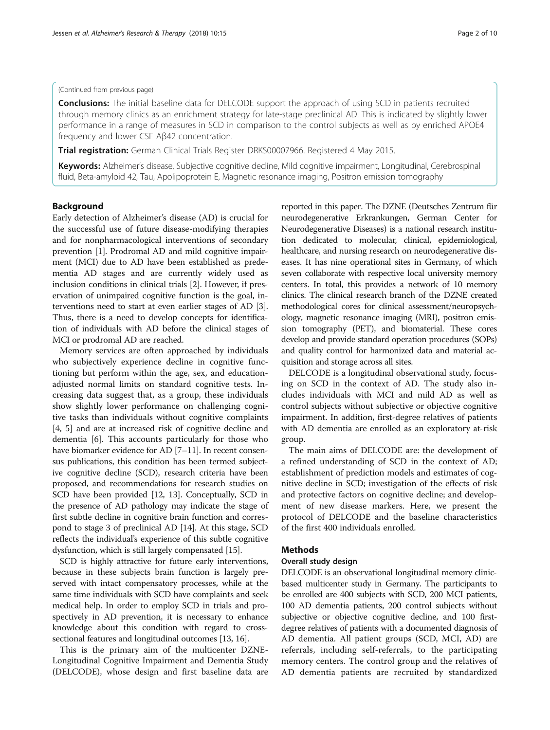#### (Continued from previous page)

**Conclusions:** The initial baseline data for DELCODE support the approach of using SCD in patients recruited through memory clinics as an enrichment strategy for late-stage preclinical AD. This is indicated by slightly lower performance in a range of measures in SCD in comparison to the control subjects as well as by enriched APOE4 frequency and lower CSF Aβ42 concentration.

Trial registration: German Clinical Trials Register [DRKS00007966.](https://www.drks.de/drks_web/setLocale_EN.do) Registered 4 May 2015.

Keywords: Alzheimer's disease, Subjective cognitive decline, Mild cognitive impairment, Longitudinal, Cerebrospinal fluid, Beta-amyloid 42, Tau, Apolipoprotein E, Magnetic resonance imaging, Positron emission tomography

#### Background

Early detection of Alzheimer's disease (AD) is crucial for the successful use of future disease-modifying therapies and for nonpharmacological interventions of secondary prevention [\[1](#page-8-0)]. Prodromal AD and mild cognitive impairment (MCI) due to AD have been established as predementia AD stages and are currently widely used as inclusion conditions in clinical trials [[2](#page-8-0)]. However, if preservation of unimpaired cognitive function is the goal, interventions need to start at even earlier stages of AD [[3](#page-8-0)]. Thus, there is a need to develop concepts for identification of individuals with AD before the clinical stages of MCI or prodromal AD are reached.

Memory services are often approached by individuals who subjectively experience decline in cognitive functioning but perform within the age, sex, and educationadjusted normal limits on standard cognitive tests. Increasing data suggest that, as a group, these individuals show slightly lower performance on challenging cognitive tasks than individuals without cognitive complaints [[4, 5\]](#page-8-0) and are at increased risk of cognitive decline and dementia [\[6\]](#page-8-0). This accounts particularly for those who have biomarker evidence for AD [\[7](#page-8-0)–[11](#page-8-0)]. In recent consensus publications, this condition has been termed subjective cognitive decline (SCD), research criteria have been proposed, and recommendations for research studies on SCD have been provided [[12](#page-8-0), [13](#page-8-0)]. Conceptually, SCD in the presence of AD pathology may indicate the stage of first subtle decline in cognitive brain function and correspond to stage 3 of preclinical AD [\[14\]](#page-8-0). At this stage, SCD reflects the individual's experience of this subtle cognitive dysfunction, which is still largely compensated [\[15](#page-8-0)].

SCD is highly attractive for future early interventions, because in these subjects brain function is largely preserved with intact compensatory processes, while at the same time individuals with SCD have complaints and seek medical help. In order to employ SCD in trials and prospectively in AD prevention, it is necessary to enhance knowledge about this condition with regard to crosssectional features and longitudinal outcomes [[13](#page-8-0), [16\]](#page-8-0).

This is the primary aim of the multicenter DZNE-Longitudinal Cognitive Impairment and Dementia Study (DELCODE), whose design and first baseline data are

reported in this paper. The DZNE (Deutsches Zentrum für neurodegenerative Erkrankungen, German Center for Neurodegenerative Diseases) is a national research institution dedicated to molecular, clinical, epidemiological, healthcare, and nursing research on neurodegenerative diseases. It has nine operational sites in Germany, of which seven collaborate with respective local university memory centers. In total, this provides a network of 10 memory clinics. The clinical research branch of the DZNE created methodological cores for clinical assessment/neuropsychology, magnetic resonance imaging (MRI), positron emission tomography (PET), and biomaterial. These cores develop and provide standard operation procedures (SOPs) and quality control for harmonized data and material acquisition and storage across all sites.

DELCODE is a longitudinal observational study, focusing on SCD in the context of AD. The study also includes individuals with MCI and mild AD as well as control subjects without subjective or objective cognitive impairment. In addition, first-degree relatives of patients with AD dementia are enrolled as an exploratory at-risk group.

The main aims of DELCODE are: the development of a refined understanding of SCD in the context of AD; establishment of prediction models and estimates of cognitive decline in SCD; investigation of the effects of risk and protective factors on cognitive decline; and development of new disease markers. Here, we present the protocol of DELCODE and the baseline characteristics of the first 400 individuals enrolled.

#### Methods

#### Overall study design

DELCODE is an observational longitudinal memory clinicbased multicenter study in Germany. The participants to be enrolled are 400 subjects with SCD, 200 MCI patients, 100 AD dementia patients, 200 control subjects without subjective or objective cognitive decline, and 100 firstdegree relatives of patients with a documented diagnosis of AD dementia. All patient groups (SCD, MCI, AD) are referrals, including self-referrals, to the participating memory centers. The control group and the relatives of AD dementia patients are recruited by standardized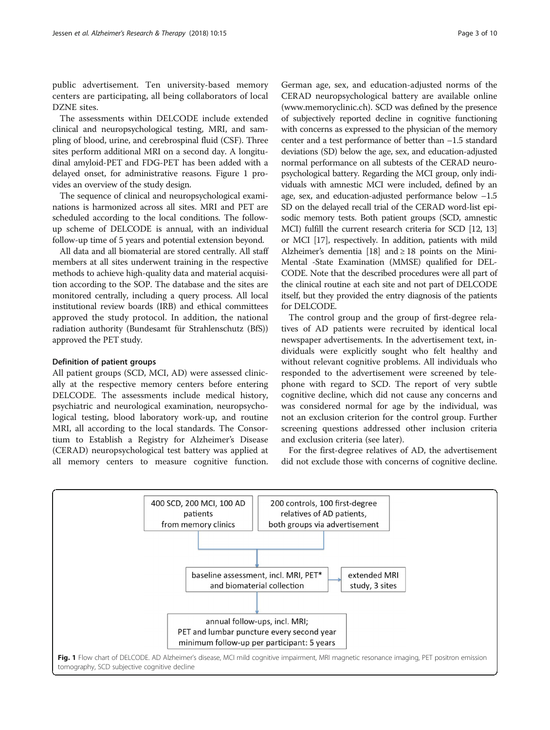public advertisement. Ten university-based memory centers are participating, all being collaborators of local DZNE sites.

The assessments within DELCODE include extended clinical and neuropsychological testing, MRI, and sampling of blood, urine, and cerebrospinal fluid (CSF). Three sites perform additional MRI on a second day. A longitudinal amyloid-PET and FDG-PET has been added with a delayed onset, for administrative reasons. Figure 1 provides an overview of the study design.

The sequence of clinical and neuropsychological examinations is harmonized across all sites. MRI and PET are scheduled according to the local conditions. The followup scheme of DELCODE is annual, with an individual follow-up time of 5 years and potential extension beyond.

All data and all biomaterial are stored centrally. All staff members at all sites underwent training in the respective methods to achieve high-quality data and material acquisition according to the SOP. The database and the sites are monitored centrally, including a query process. All local institutional review boards (IRB) and ethical committees approved the study protocol. In addition, the national radiation authority (Bundesamt für Strahlenschutz (BfS)) approved the PET study.

#### Definition of patient groups

All patient groups (SCD, MCI, AD) were assessed clinically at the respective memory centers before entering DELCODE. The assessments include medical history, psychiatric and neurological examination, neuropsychological testing, blood laboratory work-up, and routine MRI, all according to the local standards. The Consortium to Establish a Registry for Alzheimer's Disease (CERAD) neuropsychological test battery was applied at all memory centers to measure cognitive function.

German age, sex, and education-adjusted norms of the CERAD neuropsychological battery are available online ([www.memoryclinic.ch](http://www.memoryclinic.ch)). SCD was defined by the presence of subjectively reported decline in cognitive functioning with concerns as expressed to the physician of the memory center and a test performance of better than –1.5 standard deviations (SD) below the age, sex, and education-adjusted normal performance on all subtests of the CERAD neuropsychological battery. Regarding the MCI group, only individuals with amnestic MCI were included, defined by an age, sex, and education-adjusted performance below –1.5 SD on the delayed recall trial of the CERAD word-list episodic memory tests. Both patient groups (SCD, amnestic MCI) fulfill the current research criteria for SCD [[12](#page-8-0), [13](#page-8-0)] or MCI [[17](#page-8-0)], respectively. In addition, patients with mild Alzheimer's dementia [[18](#page-8-0)] and  $\geq$  18 points on the Mini-Mental -State Examination (MMSE) qualified for DEL-CODE. Note that the described procedures were all part of the clinical routine at each site and not part of DELCODE itself, but they provided the entry diagnosis of the patients for DELCODE.

The control group and the group of first-degree relatives of AD patients were recruited by identical local newspaper advertisements. In the advertisement text, individuals were explicitly sought who felt healthy and without relevant cognitive problems. All individuals who responded to the advertisement were screened by telephone with regard to SCD. The report of very subtle cognitive decline, which did not cause any concerns and was considered normal for age by the individual, was not an exclusion criterion for the control group. Further screening questions addressed other inclusion criteria and exclusion criteria (see later).

For the first-degree relatives of AD, the advertisement did not exclude those with concerns of cognitive decline.

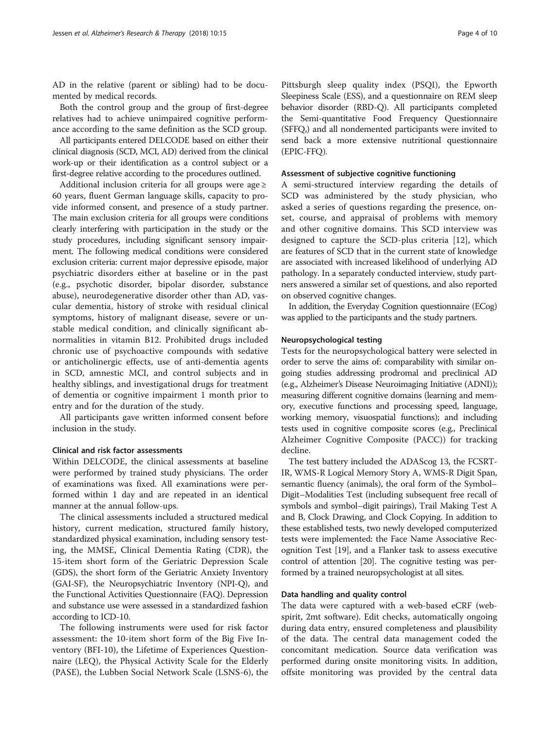AD in the relative (parent or sibling) had to be documented by medical records.

Both the control group and the group of first-degree relatives had to achieve unimpaired cognitive performance according to the same definition as the SCD group.

All participants entered DELCODE based on either their clinical diagnosis (SCD, MCI, AD) derived from the clinical work-up or their identification as a control subject or a first-degree relative according to the procedures outlined.

Additional inclusion criteria for all groups were age ≥ 60 years, fluent German language skills, capacity to provide informed consent, and presence of a study partner. The main exclusion criteria for all groups were conditions clearly interfering with participation in the study or the study procedures, including significant sensory impairment. The following medical conditions were considered exclusion criteria: current major depressive episode, major psychiatric disorders either at baseline or in the past (e.g., psychotic disorder, bipolar disorder, substance abuse), neurodegenerative disorder other than AD, vascular dementia, history of stroke with residual clinical symptoms, history of malignant disease, severe or unstable medical condition, and clinically significant abnormalities in vitamin B12. Prohibited drugs included chronic use of psychoactive compounds with sedative or anticholinergic effects, use of anti-dementia agents in SCD, amnestic MCI, and control subjects and in healthy siblings, and investigational drugs for treatment of dementia or cognitive impairment 1 month prior to entry and for the duration of the study.

All participants gave written informed consent before inclusion in the study.

#### Clinical and risk factor assessments

Within DELCODE, the clinical assessments at baseline were performed by trained study physicians. The order of examinations was fixed. All examinations were performed within 1 day and are repeated in an identical manner at the annual follow-ups.

The clinical assessments included a structured medical history, current medication, structured family history, standardized physical examination, including sensory testing, the MMSE, Clinical Dementia Rating (CDR), the 15-item short form of the Geriatric Depression Scale (GDS), the short form of the Geriatric Anxiety Inventory (GAI-SF), the Neuropsychiatric Inventory (NPI-Q), and the Functional Activities Questionnaire (FAQ). Depression and substance use were assessed in a standardized fashion according to ICD-10.

The following instruments were used for risk factor assessment: the 10-item short form of the Big Five Inventory (BFI-10), the Lifetime of Experiences Questionnaire (LEQ), the Physical Activity Scale for the Elderly (PASE), the Lubben Social Network Scale (LSNS-6), the Pittsburgh sleep quality index (PSQI), the Epworth Sleepiness Scale (ESS), and a questionnaire on REM sleep behavior disorder (RBD-Q). All participants completed the Semi-quantitative Food Frequency Questionnaire (SFFQ,) and all nondemented participants were invited to send back a more extensive nutritional questionnaire (EPIC-FFQ).

#### Assessment of subjective cognitive functioning

A semi-structured interview regarding the details of SCD was administered by the study physician, who asked a series of questions regarding the presence, onset, course, and appraisal of problems with memory and other cognitive domains. This SCD interview was designed to capture the SCD-plus criteria [[12\]](#page-8-0), which are features of SCD that in the current state of knowledge are associated with increased likelihood of underlying AD pathology. In a separately conducted interview, study partners answered a similar set of questions, and also reported on observed cognitive changes.

In addition, the Everyday Cognition questionnaire (ECog) was applied to the participants and the study partners.

#### Neuropsychological testing

Tests for the neuropsychological battery were selected in order to serve the aims of: comparability with similar ongoing studies addressing prodromal and preclinical AD (e.g., Alzheimer's Disease Neuroimaging Initiative (ADNI)); measuring different cognitive domains (learning and memory, executive functions and processing speed, language, working memory, visuospatial functions); and including tests used in cognitive composite scores (e.g., Preclinical Alzheimer Cognitive Composite (PACC)) for tracking decline.

The test battery included the ADAScog 13, the FCSRT-IR, WMS-R Logical Memory Story A, WMS-R Digit Span, semantic fluency (animals), the oral form of the Symbol– Digit–Modalities Test (including subsequent free recall of symbols and symbol–digit pairings), Trail Making Test A and B, Clock Drawing, and Clock Copying. In addition to these established tests, two newly developed computerized tests were implemented: the Face Name Associative Recognition Test [[19](#page-9-0)], and a Flanker task to assess executive control of attention [\[20\]](#page-9-0). The cognitive testing was performed by a trained neuropsychologist at all sites.

#### Data handling and quality control

The data were captured with a web-based eCRF (webspirit, 2mt software). Edit checks, automatically ongoing during data entry, ensured completeness and plausibility of the data. The central data management coded the concomitant medication. Source data verification was performed during onsite monitoring visits. In addition, offsite monitoring was provided by the central data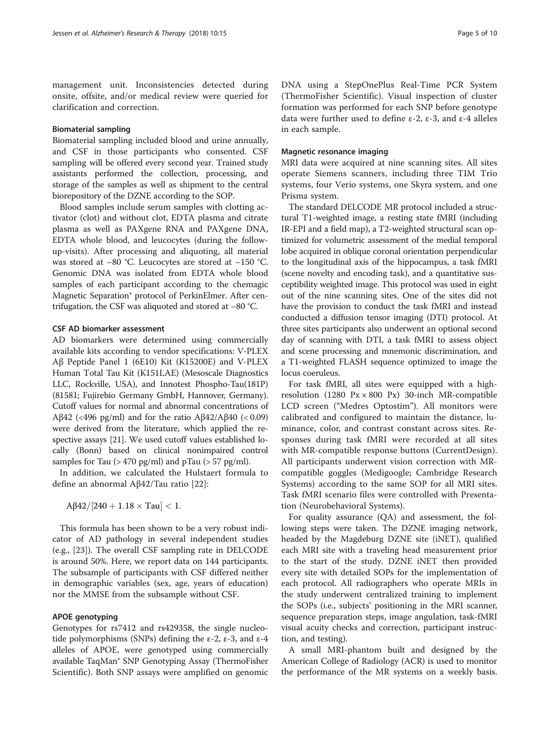management unit. Inconsistencies detected during onsite, offsite, and/or medical review were queried for clarification and correction.

#### Biomaterial sampling

Biomaterial sampling included blood and urine annually, and CSF in those participants who consented. CSF sampling will be offered every second year. Trained study assistants performed the collection, processing, and storage of the samples as well as shipment to the central biorepository of the DZNE according to the SOP.

Blood samples include serum samples with clotting activator (clot) and without clot, EDTA plasma and citrate plasma as well as PAXgene RNA and PAXgene DNA, EDTA whole blood, and leucocytes (during the followup-visits). After processing and aliquoting, all material was stored at –80 °C. Leucocytes are stored at –150 °C. Genomic DNA was isolated from EDTA whole blood samples of each participant according to the chemagic Magnetic Separation® protocol of PerkinElmer. After centrifugation, the CSF was aliquoted and stored at –80 °C.

#### CSF AD biomarker assessment

AD biomarkers were determined using commercially available kits according to vendor specifications: V-PLEX Aβ Peptide Panel 1 (6E10) Kit (K15200E) and V-PLEX Human Total Tau Kit (K151LAE) (Mesoscale Diagnostics LLC, Rockville, USA), and Innotest Phospho-Tau(181P) (81581; Fujirebio Germany GmbH, Hannover, Germany). Cutoff values for normal and abnormal concentrations of Aβ42 (<496 pg/ml) and for the ratio Aβ42/Aβ40 (<0.09) were derived from the literature, which applied the respective assays [[21\]](#page-9-0). We used cutoff values established locally (Bonn) based on clinical nonimpaired control samples for Tau  $(>470 \text{ pg/ml})$  and  $pTau (> 57 \text{ pg/ml})$ .

In addition, we calculated the Hulstaert formula to define an abnormal Aβ42/Tau ratio [[22\]](#page-9-0):

 $\text{A} \beta 42 / [240 + 1.18 \times \text{Tau}] < 1.$ 

This formula has been shown to be a very robust indicator of AD pathology in several independent studies (e.g., [\[23\]](#page-9-0)). The overall CSF sampling rate in DELCODE is around 50%. Here, we report data on 144 participants. The subsample of participants with CSF differed neither in demographic variables (sex, age, years of education) nor the MMSE from the subsample without CSF.

#### APOE genotyping

Genotypes for rs7412 and rs429358, the single nucleotide polymorphisms (SNPs) defining the  $\varepsilon$ -2,  $\varepsilon$ -3, and  $\varepsilon$ -4 alleles of APOE, were genotyped using commercially available TaqMan® SNP Genotyping Assay (ThermoFisher Scientific). Both SNP assays were amplified on genomic DNA using a StepOnePlus Real-Time PCR System (ThermoFisher Scientific). Visual inspection of cluster formation was performed for each SNP before genotype data were further used to define ε-2, ε-3, and ε-4 alleles in each sample.

#### Magnetic resonance imaging

MRI data were acquired at nine scanning sites. All sites operate Siemens scanners, including three TIM Trio systems, four Verio systems, one Skyra system, and one Prisma system.

The standard DELCODE MR protocol included a structural T1-weighted image, a resting state fMRI (including IR-EPI and a field map), a T2-weighted structural scan optimized for volumetric assessment of the medial temporal lobe acquired in oblique coronal orientation perpendicular to the longitudinal axis of the hippocampus, a task fMRI (scene novelty and encoding task), and a quantitative susceptibility weighted image. This protocol was used in eight out of the nine scanning sites. One of the sites did not have the provision to conduct the task fMRI and instead conducted a diffusion tensor imaging (DTI) protocol. At three sites participants also underwent an optional second day of scanning with DTI, a task fMRI to assess object and scene processing and mnemonic discrimination, and a T1-weighted FLASH sequence optimized to image the locus coeruleus.

For task fMRI, all sites were equipped with a highresolution (1280  $Px \times 800$  Px) 30-inch MR-compatible LCD screen ("Medres Optostim"). All monitors were calibrated and configured to maintain the distance, luminance, color, and contrast constant across sites. Responses during task fMRI were recorded at all sites with MR-compatible response buttons (CurrentDesign). All participants underwent vision correction with MRcompatible goggles (Medigoogle; Cambridge Research Systems) according to the same SOP for all MRI sites. Task fMRI scenario files were controlled with Presentation (Neurobehavioral Systems).

For quality assurance (QA) and assessment, the following steps were taken. The DZNE imaging network, headed by the Magdeburg DZNE site (iNET), qualified each MRI site with a traveling head measurement prior to the start of the study. DZNE iNET then provided every site with detailed SOPs for the implementation of each protocol. All radiographers who operate MRIs in the study underwent centralized training to implement the SOPs (i.e., subjects' positioning in the MRI scanner, sequence preparation steps, image angulation, task-fMRI visual acuity checks and correction, participant instruction, and testing).

A small MRI-phantom built and designed by the American College of Radiology (ACR) is used to monitor the performance of the MR systems on a weekly basis.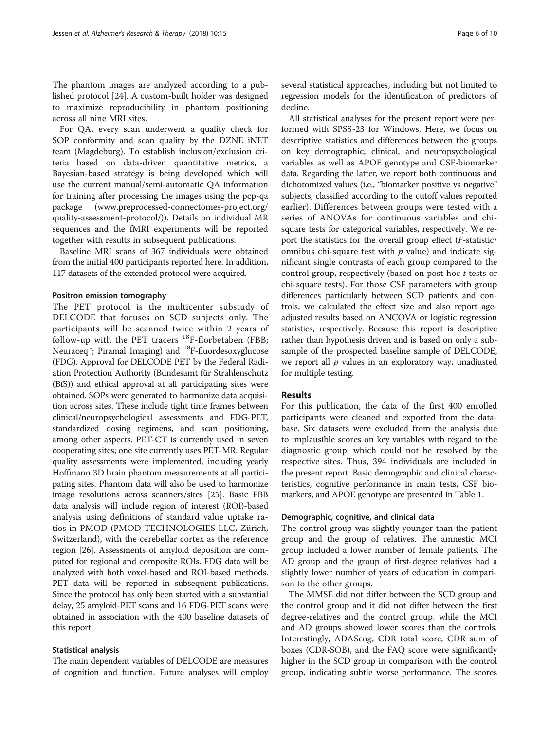The phantom images are analyzed according to a published protocol [\[24\]](#page-9-0). A custom-built holder was designed to maximize reproducibility in phantom positioning across all nine MRI sites.

For QA, every scan underwent a quality check for SOP conformity and scan quality by the DZNE iNET team (Magdeburg). To establish inclusion/exclusion criteria based on data-driven quantitative metrics, a Bayesian-based strategy is being developed which will use the current manual/semi-automatic QA information for training after processing the images using the pcp-qa package ([www.preprocessed-connectomes-project.org/](http://www.preprocessed-connectomes-project.org/quality-assessment-protocol/) [quality-assessment-protocol/\)\)](http://www.preprocessed-connectomes-project.org/quality-assessment-protocol/). Details on individual MR sequences and the fMRI experiments will be reported together with results in subsequent publications.

Baseline MRI scans of 367 individuals were obtained from the initial 400 participants reported here. In addition, 117 datasets of the extended protocol were acquired.

#### Positron emission tomography

The PET protocol is the multicenter substudy of DELCODE that focuses on SCD subjects only. The participants will be scanned twice within 2 years of follow-up with the PET tracers <sup>18</sup>F-florbetaben (FBB; Neuraceq™; Piramal Imaging) and <sup>18</sup>F-fluordesoxyglucose (FDG). Approval for DELCODE PET by the Federal Radiation Protection Authority (Bundesamt für Strahlenschutz (BfS)) and ethical approval at all participating sites were obtained. SOPs were generated to harmonize data acquisition across sites. These include tight time frames between clinical/neuropsychological assessments and FDG-PET, standardized dosing regimens, and scan positioning, among other aspects. PET-CT is currently used in seven cooperating sites; one site currently uses PET-MR. Regular quality assessments were implemented, including yearly Hoffmann 3D brain phantom measurements at all participating sites. Phantom data will also be used to harmonize image resolutions across scanners/sites [\[25\]](#page-9-0). Basic FBB data analysis will include region of interest (ROI)-based analysis using definitions of standard value uptake ratios in PMOD (PMOD TECHNOLOGIES LLC, Zürich, Switzerland), with the cerebellar cortex as the reference region [[26](#page-9-0)]. Assessments of amyloid deposition are computed for regional and composite ROIs. FDG data will be analyzed with both voxel-based and ROI-based methods. PET data will be reported in subsequent publications. Since the protocol has only been started with a substantial delay, 25 amyloid-PET scans and 16 FDG-PET scans were obtained in association with the 400 baseline datasets of this report.

#### Statistical analysis

The main dependent variables of DELCODE are measures of cognition and function. Future analyses will employ several statistical approaches, including but not limited to regression models for the identification of predictors of decline.

All statistical analyses for the present report were performed with SPSS-23 for Windows. Here, we focus on descriptive statistics and differences between the groups on key demographic, clinical, and neuropsychological variables as well as APOE genotype and CSF-biomarker data. Regarding the latter, we report both continuous and dichotomized values (i.e., "biomarker positive vs negative" subjects, classified according to the cutoff values reported earlier). Differences between groups were tested with a series of ANOVAs for continuous variables and chisquare tests for categorical variables, respectively. We report the statistics for the overall group effect (F-statistic/ omnibus chi-square test with  $p$  value) and indicate significant single contrasts of each group compared to the control group, respectively (based on post-hoc t tests or chi-square tests). For those CSF parameters with group differences particularly between SCD patients and controls, we calculated the effect size and also report ageadjusted results based on ANCOVA or logistic regression statistics, respectively. Because this report is descriptive rather than hypothesis driven and is based on only a subsample of the prospected baseline sample of DELCODE, we report all  $p$  values in an exploratory way, unadjusted for multiple testing.

#### Results

For this publication, the data of the first 400 enrolled participants were cleaned and exported from the database. Six datasets were excluded from the analysis due to implausible scores on key variables with regard to the diagnostic group, which could not be resolved by the respective sites. Thus, 394 individuals are included in the present report. Basic demographic and clinical characteristics, cognitive performance in main tests, CSF biomarkers, and APOE genotype are presented in Table [1](#page-6-0).

#### Demographic, cognitive, and clinical data

The control group was slightly younger than the patient group and the group of relatives. The amnestic MCI group included a lower number of female patients. The AD group and the group of first-degree relatives had a slightly lower number of years of education in comparison to the other groups.

The MMSE did not differ between the SCD group and the control group and it did not differ between the first degree-relatives and the control group, while the MCI and AD groups showed lower scores than the controls. Interestingly, ADAScog, CDR total score, CDR sum of boxes (CDR-SOB), and the FAQ score were significantly higher in the SCD group in comparison with the control group, indicating subtle worse performance. The scores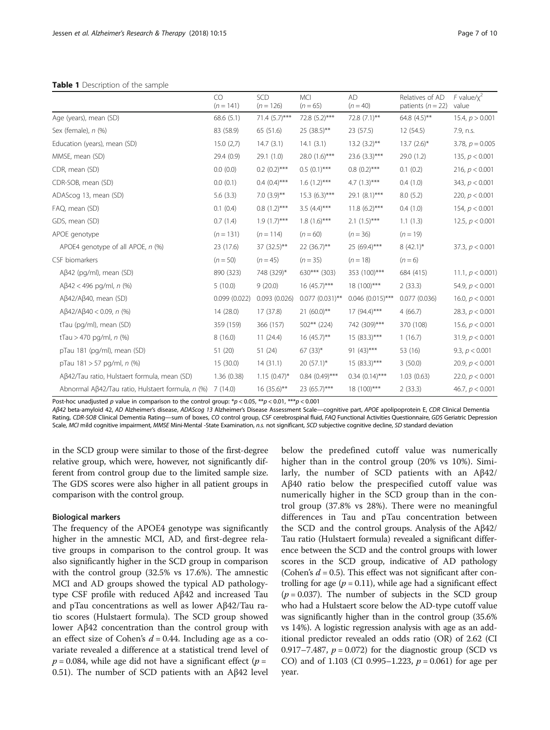#### <span id="page-6-0"></span>Table 1 Description of the sample

|                              | CO<br>$(n = 141)$ | SCD<br>$(n = 126)$ | <b>MCI</b><br>$(n = 65)$ | AD.<br>$(n = 40)$ | Relatives of AD<br>patients $(n = 22)$ | $F$ value/ $x^2$<br>value |  |  |  |  |
|------------------------------|-------------------|--------------------|--------------------------|-------------------|----------------------------------------|---------------------------|--|--|--|--|
| Age (years), mean (SD)       | 68.6(5.1)         | $71.4 (5.7)$ ***   | 72.8 (5.2)***            | $72.8(7.1)$ **    | 64.8 $(4.5)$ <sup>**</sup>             | 15.4, $p > 0.001$         |  |  |  |  |
| Sex (female), n (%)          | 83 (58.9)         | 65 (51.6)          | 25 (38.5)**              | 23(57.5)          | 12(54.5)                               | 7.9, n.s.                 |  |  |  |  |
| Education (years), mean (SD) | 15.0(2,7)         | 14.7(3.1)          | 14.1(3.1)                | $13.2 (3.2)$ **   | $13.7(2.6)$ *                          | 3.78, $p = 0.005$         |  |  |  |  |
| MMSE, mean (SD)              | 29.4(0.9)         | 29.1(1.0)          | $28.0(1.6)$ ***          | $23.6(3.3)***$    | 29.0(1.2)                              | 135, $p < 0.001$          |  |  |  |  |
| CDR, mean (SD)               | 0.0(0.0)          | $0.2$ $(0.2)$ ***  | $0.5(0.1)$ ***           | $0.8(0.2)$ ***    | 0.1(0.2)                               | 216, $p < 0.001$          |  |  |  |  |
| CDR-SOB, mean (SD)           | 0.0(0.1)          | $0.4(0.4)$ ***     | $1.6(1.2)$ ***           | $4.7(1.3)***$     | 0.4(1.0)                               | 343, $p < 0.001$          |  |  |  |  |
| ADAScog 13, mean (SD)        | 5.6(3.3)          | $7.0(3.9)$ **      | $15.3(6.3)$ ***          | $29.1 (8.1)$ ***  | 8.0(5.2)                               | 220, $p < 0.001$          |  |  |  |  |
|                              |                   |                    |                          |                   |                                        |                           |  |  |  |  |

| FAQ, mean (SD)                                      | 0.1(0.4)     | $0.8(1.2)$ ***   | $3.5(4.4)***$        | $11.8(6.2)$ ***       | 0.4(1.0)      | 154, $p < 0.001$  |
|-----------------------------------------------------|--------------|------------------|----------------------|-----------------------|---------------|-------------------|
| GDS, mean (SD)                                      | 0.7(1.4)     | $1.9(1.7)$ ***   | $1.8(1.6)$ ***       | $2.1(1.5)***$         | 1.1(1.3)      | 12.5, $p < 0.001$ |
| APOE genotype                                       | $(n = 131)$  | $(n = 114)$      | $(n = 60)$           | $(n = 36)$            | $(n = 19)$    |                   |
| APOE4 genotype of all APOE, n (%)                   | 23 (17.6)    | $37(32.5)$ **    | $22(36.7)$ **        | $25(69.4)***$         | $8(42.1)^{*}$ | 37.3, $p < 0.001$ |
| CSF biomarkers                                      | $(n = 50)$   | $(n = 45)$       | $(n = 35)$           | $(n = 18)$            | $(n=6)$       |                   |
| $A\beta$ 42 (pg/ml), mean (SD)                      | 890 (323)    | 748 (329)*       | $630***$ (303)       | 353 (100)***          | 684 (415)     | 11.1, $p < 0.001$ |
| $A\beta42 < 496$ pg/ml, n (%)                       | 5(10.0)      | 9(20.0)          | $16(45.7)$ ***       | $18(100)$ ***         | 2(33.3)       | 54.9, $p < 0.001$ |
| $A\beta42/A\beta40$ , mean (SD)                     | 0.099(0.022) | 0.093(0.026)     | $0.077$ $(0.031)$ ** | $0.046$ $(0.015)$ *** | 0.077(0.036)  | 16.0, $p < 0.001$ |
| $A\beta$ 42/A $\beta$ 40 < 0.09, n (%)              | 14(28.0)     | 17(37.8)         | $21 (60.0)$ **       | $17(94.4)***$         | 4(66.7)       | 28.3, $p < 0.001$ |
| tTau (pg/ml), mean (SD)                             | 359 (159)    | 366 (157)        | $502***$ (224)       | 742 (309)***          | 370 (108)     | 15.6, $p < 0.001$ |
| tTau > 470 pg/ml, $n$ (%)                           | 8(16.0)      | 11(24.4)         | $16(45.7)$ **        | $15(83.3)***$         | 1(16.7)       | 31.9, $p < 0.001$ |
| pTau 181 (pg/ml), mean (SD)                         | 51 (20)      | 51(24)           | $67(33)*$            | $91 (43)$ ***         | 53 (16)       | 9.3, $p < 0.001$  |
| pTau $181 > 57$ pg/ml, n (%)                        | 15(30.0)     | 14(31.1)         | $20(57.1)$ *         | $15(83.3)***$         | 3(50.0)       | 20.9, $p < 0.001$ |
| Aβ42/Tau ratio, Hulstaert formula, mean (SD)        | 1.36(0.38)   | $1.15(0.47)^{*}$ | $0.84(0.49)$ ***     | $0.34(0.14)$ ***      | 1.03(0.63)    | 22.0, $p < 0.001$ |
| Abnormal Aβ42/Tau ratio, Hulstaert formula, $n$ (%) | 7(14.0)      | $16(35.6)$ **    | 23 (65.7)***         | 18 (100)***           | 2(33.3)       | 46.7, $p < 0.001$ |

Post-hoc unadjusted p value in comparison to the control group:  $p < 0.05$ ,  $p < 0.01$ ,  $p > 0.001$ 

Aß42 beta-amyloid 42, AD Alzheimer's disease, ADAScog 13 Alzheimer's Disease Assessment Scale—cognitive part, APOE apolipoprotein E, CDR Clinical Dementia Rating, CDR-SOB Clinical Dementia Rating-sum of boxes, CO control group, CSF cerebrospinal fluid, FAQ Functional Activities Questionnaire, GDS Geriatric Depression Scale, MCI mild cognitive impairment, MMSE Mini-Mental -State Examination, n.s. not significant, SCD subjective cognitive decline, SD standard deviation

in the SCD group were similar to those of the first-degree relative group, which were, however, not significantly different from control group due to the limited sample size. The GDS scores were also higher in all patient groups in comparison with the control group.

#### Biological markers

The frequency of the APOE4 genotype was significantly higher in the amnestic MCI, AD, and first-degree relative groups in comparison to the control group. It was also significantly higher in the SCD group in comparison with the control group (32.5% vs 17.6%). The amnestic MCI and AD groups showed the typical AD pathologytype CSF profile with reduced Aβ42 and increased Tau and pTau concentrations as well as lower Aβ42/Tau ratio scores (Hulstaert formula). The SCD group showed lower Aβ42 concentration than the control group with an effect size of Cohen's  $d = 0.44$ . Including age as a covariate revealed a difference at a statistical trend level of  $p = 0.084$ , while age did not have a significant effect ( $p =$ 0.51). The number of SCD patients with an Aβ42 level

below the predefined cutoff value was numerically higher than in the control group (20% vs 10%). Similarly, the number of SCD patients with an Aβ42/ Aβ40 ratio below the prespecified cutoff value was numerically higher in the SCD group than in the control group (37.8% vs 28%). There were no meaningful differences in Tau and pTau concentration between the SCD and the control groups. Analysis of the Aβ42/ Tau ratio (Hulstaert formula) revealed a significant difference between the SCD and the control groups with lower scores in the SCD group, indicative of AD pathology (Cohen's  $d = 0.5$ ). This effect was not significant after controlling for age  $(p = 0.11)$ , while age had a significant effect  $(p = 0.037)$ . The number of subjects in the SCD group who had a Hulstaert score below the AD-type cutoff value was significantly higher than in the control group (35.6% vs 14%). A logistic regression analysis with age as an additional predictor revealed an odds ratio (OR) of 2.62 (CI 0.917–7.487,  $p = 0.072$ ) for the diagnostic group (SCD vs CO) and of 1.103 (CI 0.995–1.223,  $p = 0.061$ ) for age per year.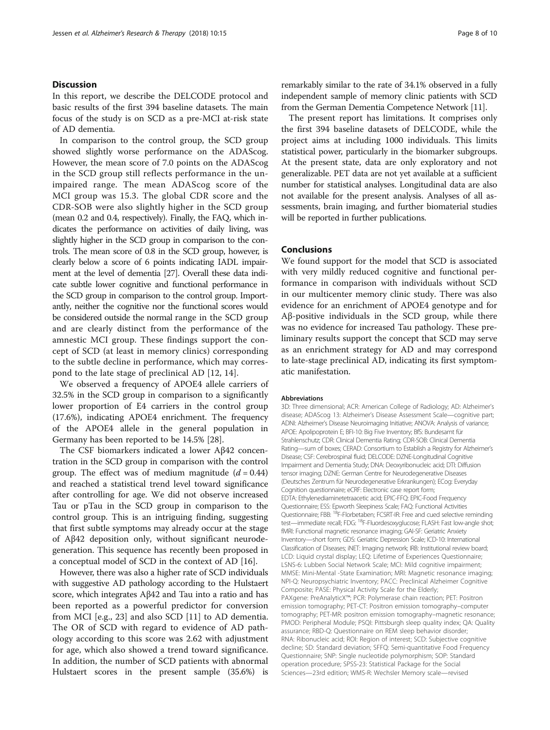#### **Discussion**

In this report, we describe the DELCODE protocol and basic results of the first 394 baseline datasets. The main focus of the study is on SCD as a pre-MCI at-risk state of AD dementia.

In comparison to the control group, the SCD group showed slightly worse performance on the ADAScog. However, the mean score of 7.0 points on the ADAScog in the SCD group still reflects performance in the unimpaired range. The mean ADAScog score of the MCI group was 15.3. The global CDR score and the CDR-SOB were also slightly higher in the SCD group (mean 0.2 and 0.4, respectively). Finally, the FAQ, which indicates the performance on activities of daily living, was slightly higher in the SCD group in comparison to the controls. The mean score of 0.8 in the SCD group, however, is clearly below a score of 6 points indicating IADL impairment at the level of dementia [\[27\]](#page-9-0). Overall these data indicate subtle lower cognitive and functional performance in the SCD group in comparison to the control group. Importantly, neither the cognitive nor the functional scores would be considered outside the normal range in the SCD group and are clearly distinct from the performance of the amnestic MCI group. These findings support the concept of SCD (at least in memory clinics) corresponding to the subtle decline in performance, which may correspond to the late stage of preclinical AD [[12, 14](#page-8-0)].

We observed a frequency of APOE4 allele carriers of 32.5% in the SCD group in comparison to a significantly lower proportion of E4 carriers in the control group (17.6%), indicating APOE4 enrichment. The frequency of the APOE4 allele in the general population in Germany has been reported to be 14.5% [[28](#page-9-0)].

The CSF biomarkers indicated a lower Aβ42 concentration in the SCD group in comparison with the control group. The effect was of medium magnitude  $(d = 0.44)$ and reached a statistical trend level toward significance after controlling for age. We did not observe increased Tau or pTau in the SCD group in comparison to the control group. This is an intriguing finding, suggesting that first subtle symptoms may already occur at the stage of Aβ42 deposition only, without significant neurodegeneration. This sequence has recently been proposed in a conceptual model of SCD in the context of AD [[16\]](#page-8-0).

However, there was also a higher rate of SCD individuals with suggestive AD pathology according to the Hulstaert score, which integrates Aβ42 and Tau into a ratio and has been reported as a powerful predictor for conversion from MCI [e.g., 23] and also SCD [\[11\]](#page-8-0) to AD dementia. The OR of SCD with regard to evidence of AD pathology according to this score was 2.62 with adjustment for age, which also showed a trend toward significance. In addition, the number of SCD patients with abnormal Hulstaert scores in the present sample (35.6%) is remarkably similar to the rate of 34.1% observed in a fully independent sample of memory clinic patients with SCD from the German Dementia Competence Network [[11\]](#page-8-0).

The present report has limitations. It comprises only the first 394 baseline datasets of DELCODE, while the project aims at including 1000 individuals. This limits statistical power, particularly in the biomarker subgroups. At the present state, data are only exploratory and not generalizable. PET data are not yet available at a sufficient number for statistical analyses. Longitudinal data are also not available for the present analysis. Analyses of all assessments, brain imaging, and further biomaterial studies will be reported in further publications.

#### Conclusions

We found support for the model that SCD is associated with very mildly reduced cognitive and functional performance in comparison with individuals without SCD in our multicenter memory clinic study. There was also evidence for an enrichment of APOE4 genotype and for Aβ-positive individuals in the SCD group, while there was no evidence for increased Tau pathology. These preliminary results support the concept that SCD may serve as an enrichment strategy for AD and may correspond to late-stage preclinical AD, indicating its first symptomatic manifestation.

#### Abbreviations

3D: Three dimensional; ACR: American College of Radiology; AD: Alzheimer's disease; ADAScog 13: Alzheimer's Disease Assessment Scale—cognitive part; ADNI: Alzheimer's Disease Neuroimaging Initiative; ANOVA: Analysis of variance; APOE: Apolipoprotein E; BFI-10: Big Five Inventory; BfS: Bundesamt für Strahlenschutz; CDR: Clinical Dementia Rating; CDR-SOB: Clinical Dementia Rating—sum of boxes; CERAD: Consortium to Establish a Registry for Alzheimer's Disease; CSF: Cerebrospinal fluid; DELCODE: DZNE-Longitudinal Cognitive Impairment and Dementia Study; DNA: Deoxyribonucleic acid; DTI: Diffusion tensor imaging; DZNE: German Centre for Neurodegenerative Diseases (Deutsches Zentrum für Neurodegenerative Erkrankungen); ECog: Everyday Cognition questionnaire; eCRF: Electronic case report form; EDTA: Ethylenediaminetetraacetic acid; EPIC-FFQ: EPIC-Food Frequency Questionnaire; ESS: Epworth Sleepiness Scale; FAQ: Functional Activities Questionnaire; FBB: <sup>18</sup>F-Florbetaben; FCSRT-IR: Free and cued selective reminding test—immediate recall; FDG: <sup>18</sup>F-Fluordesoxyglucose; FLASH: Fast low-angle shot; fMRI: Functional magnetic resonance imaging; GAI-SF: Geriatric Anxiety Inventory—short form; GDS: Geriatric Depression Scale; ICD-10: International Classification of Diseases; iNET: Imaging network; IRB: Institutional review board; LCD: Liquid crystal display; LEQ: Lifetime of Experiences Questionnaire; LSNS-6: Lubben Social Network Scale; MCI: Mild cognitive impairment; MMSE: Mini-Mental -State Examination; MRI: Magnetic resonance imaging; NPI-Q: Neuropsychiatric Inventory; PACC: Preclinical Alzheimer Cognitive Composite; PASE: Physical Activity Scale for the Elderly; PAXgene: PreAnalyticX™; PCR: Polymerase chain reaction; PET: Positron emission tomography; PET-CT: Positron emission tomography–computer tomography; PET-MR: positron emission tomography–magnetic resonance; PMOD: Peripheral Module; PSQI: Pittsburgh sleep quality index; QA: Quality assurance; RBD-Q: Questionnaire on REM sleep behavior disorder; RNA: Ribonucleic acid; ROI: Region of interest; SCD: Subjective cognitive decline; SD: Standard deviation; SFFQ: Semi-quantitative Food Frequency Questionnaire; SNP: Single nucleotide polymorphism; SOP: Standard operation procedure; SPSS-23: Statistical Package for the Social Sciences—23rd edition; WMS-R: Wechsler Memory scale—revised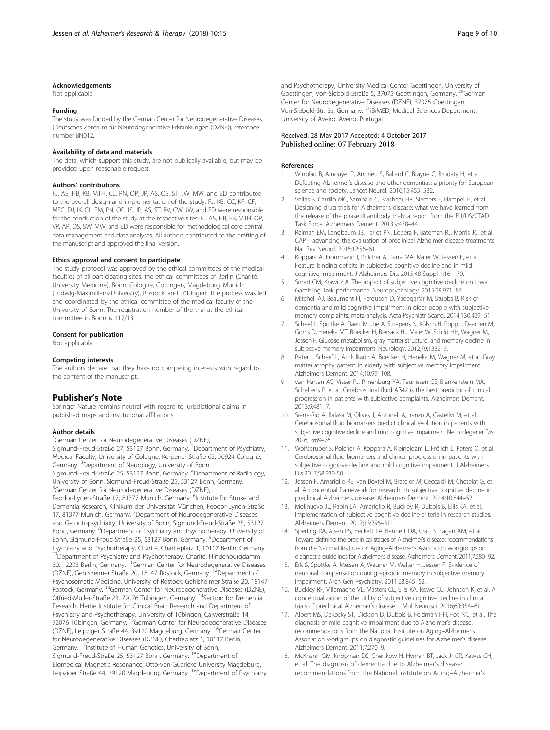#### <span id="page-8-0"></span>Acknowledgements

Not applicable.

#### Funding

The study was funded by the German Center for Neurodegenerative Diseases (Deutsches Zentrum für Neurodegenerative Erkrankungen (DZNE)), reference number BN012.

#### Availability of data and materials

The data, which support this study, are not publically available, but may be provided upon reasonable request.

#### Authors' contributions

FJ, AS, HB, KB, MTH, CL, PN, OP, JP, AS, OS, ST, JW, MW, and ED contributed to the overall design and implementation of the study. FJ, KB, CC, KF, CF, MFC, DJ, IK, CL, FM, PN, OP, JS, JP, AS, ST, RV, CW, JW, and ED were responsible for the conduction of the study at the respective sites. FJ, AS, HB, FB, MTH, OP, VP, AR, OS, SW, MW, and ED were responsible for methodological core central data management and data analyses. All authors contributed to the drafting of the manuscript and approved the final version.

#### Ethics approval and consent to participate

The study protocol was approved by the ethical committees of the medical faculties of all participating sites: the ethical committees of Berlin (Charité, University Medicine), Bonn, Cologne, Göttingen, Magdeburg, Munich (Ludwig-Maximilians-University), Rostock, and Tübingen. The process was led and coordinated by the ethical committee of the medical faculty of the University of Bonn. The registration number of the trial at the ethical committee in Bonn is 117/13.

#### Consent for publication

Not applicable.

#### Competing interests

The authors declare that they have no competing interests with regard to the content of the manuscript.

#### Publisher's Note

Springer Nature remains neutral with regard to jurisdictional claims in published maps and institutional affiliations.

#### Author details

<sup>1</sup>German Center for Neurodegenerative Diseases (DZNE), Sigmund-Freud-Straße 27, 53127 Bonn, Germany. <sup>2</sup>Department of Psychiatry, Medical Faculty, University of Cologne, Kerpener Straße 62, 50924 Cologne, Germany. <sup>3</sup>Department of Neurology, University of Bonn, Sigmund-Freud-Straße 25, 53127 Bonn, Germany. <sup>4</sup> Department of Radiology, University of Bonn, Sigmund-Freud-Straße 25, 53127 Bonn, Germany. 5 German Center for Neurodegenerative Diseases (DZNE), Feodor-Lynen-Straße 17, 81377 Munich, Germany. <sup>6</sup>Institute for Stroke and Dementia Research, Klinikum der Universität München, Feodor-Lynen-Straße 17, 81377 Munich, Germany. <sup>7</sup> Department of Neurodegenerative Diseases and Gerontopsychiatry, University of Bonn, Sigmund-Freud-Straße 25, 53127 Bonn, Germany. <sup>8</sup>Department of Psychiatry and Psychotherapy, University of Bonn, Sigmund-Freud-Straße 25, 53127 Bonn, Germany. <sup>9</sup>Department of Psychiatry and Psychotherapy, Charité, Charitéplatz 1, 10117 Berlin, Germany. <sup>10</sup>Department of Psychiatry and Psychotherapy, Charité, Hindenburgdamm 30, 12203 Berlin, Germany. <sup>11</sup>German Center for Neurodegenerative Diseases (DZNE), Gehlsheimer Straße 20, 18147 Rostock, Germany. <sup>12</sup>Department of Psychosomatic Medicine, University of Rostock, Gehlsheimer Straße 20, 18147

Rostock, Germany. 13German Center for Neurodegenerative Diseases (DZNE), Otfried-Müller-Straße 23, 72076 Tübingen, Germany. <sup>14</sup>Section for Dementia Research, Hertie Institute for Clinical Brain Research and Department of Psychiatry and Psychotherapy, University of Tübingen, Calwerstraße 14,<br>72076 Tübingen, Germany. <sup>15</sup>German Center for Neurodegenerative Diseases (DZNE), Leipziger Straße 44, 39120 Magdeburg, Germany. 16German Center for Neurodegenerative Diseases (DZNE), Charitéplatz 1, 10117 Berlin, Germany. <sup>17</sup>Institute of Human Genetics, University of Bonn, Sigmund-Freud-Straße 25, 53127 Bonn, Germany. <sup>18</sup>Department of Biomedical Magnetic Resonance, Otto-von-Guericke University Magdeburg, Leipziger Straße 44, 39120 Magdeburg, Germany. <sup>19</sup>Department of Psychiatry and Psychotherapy, University Medical Center Goettingen, University of Goettingen, Von-Siebold-Straße 5, 37075 Goettingen, Germany. 20German Center for Neurodegenerative Diseases (DZNE), 37075 Goettingen, Von-Siebold-Str. 3a, Germany. 21iBiMED, Medical Sciences Department, University of Aveiro, Aveiro, Portugal.

# Received: 28 May 2017 Accepted: 4 October 2017<br>Published online: 07 February 2018

#### References

- Winblad B, Amouyel P, Andrieu S, Ballard C, Brayne C, Brodaty H, et al. Defeating Alzheimer's disease and other dementias: a priority for European science and society. Lancet Neurol. 2016;15:455–532.
- Vellas B, Carrillo MC, Sampaio C, Brashear HR, Siemers E, Hampel H, et al. Designing drug trials for Alzheimer's disease: what we have learned from the release of the phase III antibody trials: a report from the EU/US/CTAD Task Force. Alzheimers Dement. 2013;9:438–44.
- 3. Reiman EM, Langbaum JB, Tariot PN, Lopera F, Bateman RJ, Morris JC, et al. CAP—advancing the evaluation of preclinical Alzheimer disease treatments. Nat Rev Neurol. 2016;12:56–61.
- Koppara A, Frommann I, Polcher A, Parra MA, Maier W, Jessen F, et al. Feature binding deficits in subjective cognitive decline and in mild cognitive impairment. J Alzheimers Dis. 2015;48 Suppl 1:161–70.
- 5. Smart CM, Krawitz A. The impact of subjective cognitive decline on Iowa Gambling Task performance. Neuropsychology. 2015;29:971–87.
- 6. Mitchell AJ, Beaumont H, Ferguson D, Yadegarfar M, Stubbs B. Risk of dementia and mild cognitive impairment in older people with subjective memory complaints: meta-analysis. Acta Psychiatr Scand. 2014;130:439–51.
- 7. Scheef L, Spottke A, Daerr M, Joe A, Striepens N, Kölsch H, Popp J, Daamen M, Gorris D, Heneka MT, Boecker H, Biersack HJ, Maier W, Schild HH, Wagner M, Jessen F. Glucose metabolism, gray matter structure, and memory decline in subjective memory impairment. Neurology. 2012;79:1332–9.
- 8. Peter J, Scheef L, Abdulkadir A, Boecker H, Heneka M, Wagner M, et al. Gray matter atrophy pattern in elderly with subjective memory impairment. Alzheimers Dement. 2014;10:99–108.
- 9. van Harten AC, Visser PJ, Pijnenburg YA, Teunissen CE, Blankenstein MA, Scheltens P, et al. Cerebrospinal fluid Aβ42 is the best predictor of clinical progression in patients with subjective complaints. Alzheimers Dement. 2013;9:481–7.
- 10. Sierra-Rio A, Balasa M, Olives J, Antonell A, Iranzo A, Castellví M, et al. Cerebrospinal fluid biomarkers predict clinical evolution in patients with subjective cognitive decline and mild cognitive impairment. Neurodegener Dis. 2016;16:69–76.
- 11. Wolfsgruber S, Polcher A, Koppara A, Kleineidam L, Frölich L, Peters O, et al. Cerebrospinal fluid biomarkers and clinical progression in patients with subjective cognitive decline and mild cognitive impairment. J Alzheimers Dis.2017;58:939-50.
- 12. Jessen F, Amariglio RE, van Boxtel M, Breteler M, Ceccaldi M, Chételat G, et al. A conceptual framework for research on subjective cognitive decline in preclinical Alzheimer's disease. Alzheimers Dement. 2014;10:844–52.
- 13. Molinuevo JL, Rabin LA, Amariglio R, Buckley R, Dubois B, Ellis KA, et al. Implementation of subjective cognitive decline criteria in research studies. Alzheimers Dement. 2017;13:296–311.
- 14. Sperling RA, Aisen PS, Beckett LA, Bennett DA, Craft S, Fagan AM, et al. Toward defining the preclinical stages of Alzheimer's disease: recommendations from the National Institute on Aging–Alzheimer's Association workgroups on diagnostic guidelines for Alzheimer's disease. Alzheimers Dement. 2011;7:280–92.
- 15. Erk S, Spottke A, Meisen A, Wagner M, Walter H, Jessen F. Evidence of neuronal compensation during episodic memory in subjective memory impairment. Arch Gen Psychiatry. 2011;68:845–52.
- 16. Buckley RF, Villemagne VL, Masters CL, Ellis KA, Rowe CC, Johnson K, et al. A conceptualization of the utility of subjective cognitive decline in clinical trials of preclinical Alzheimer's disease. J Mol Neurosci. 2016;60:354–61.
- 17. Albert MS, DeKosky ST, Dickson D, Dubois B, Feldman HH, Fox NC, et al. The diagnosis of mild cognitive impairment due to Alzheimer's disease: recommendations from the National Institute on Aging–Alzheimer's Association workgroups on diagnostic guidelines for Alzheimer's disease. Alzheimers Dement. 2011;7:270–9.
- 18. McKhann GM, Knopman DS, Chertkow H, Hyman BT, Jack Jr CR, Kawas CH, et al. The diagnosis of dementia due to Alzheimer's disease: recommendations from the National Institute on Aging–Alzheimer's